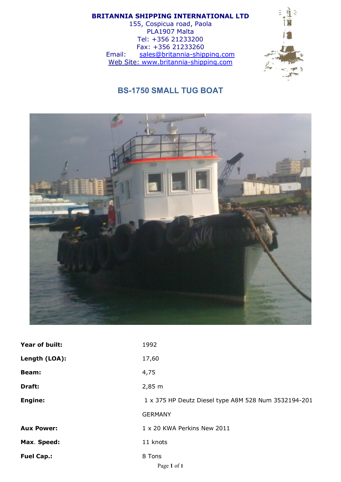## BRITANNIA SHIPPING INTERNATIONAL LTD

155, Cospicua road, Paola PLA1907 Malta Tel: +356 21233200 Fax: +356 21233260 Email: sales@britannia-shipping.com Web Site: www.britannia-shipping.com



## BS-1750 SMALL TUG BOAT



| Year of built:    | 1992                                                 |
|-------------------|------------------------------------------------------|
| Length (LOA):     | 17,60                                                |
| <b>Beam:</b>      | 4,75                                                 |
| Draft:            | $2,85 \; m$                                          |
| <b>Engine:</b>    | 1 x 375 HP Deutz Diesel type A8M 528 Num 3532194-201 |
|                   | <b>GERMANY</b>                                       |
| <b>Aux Power:</b> | 1 x 20 KWA Perkins New 2011                          |
| Max. Speed:       | 11 knots                                             |
| <b>Fuel Cap.:</b> | 8 Tons<br>Page 1 of 1                                |